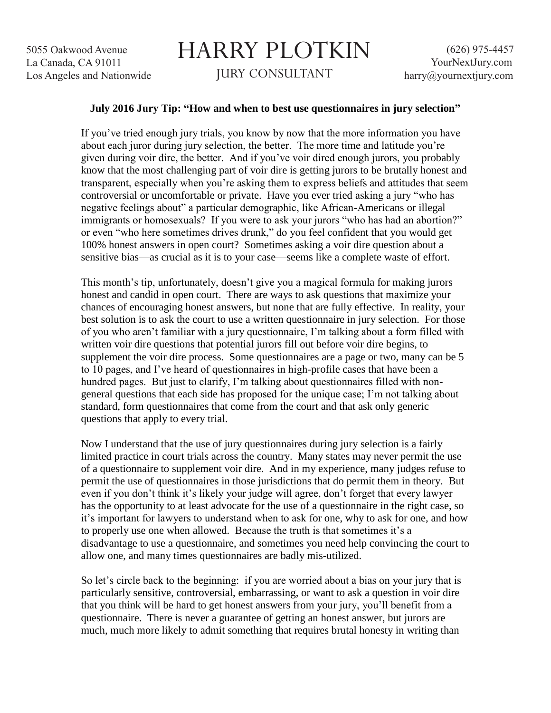## HARRY PLOTKIN JURY CONSULTANT

## **July 2016 Jury Tip: "How and when to best use questionnaires in jury selection"**

If you've tried enough jury trials, you know by now that the more information you have about each juror during jury selection, the better. The more time and latitude you're given during voir dire, the better. And if you've voir dired enough jurors, you probably know that the most challenging part of voir dire is getting jurors to be brutally honest and transparent, especially when you're asking them to express beliefs and attitudes that seem controversial or uncomfortable or private. Have you ever tried asking a jury "who has negative feelings about" a particular demographic, like African-Americans or illegal immigrants or homosexuals? If you were to ask your jurors "who has had an abortion?" or even "who here sometimes drives drunk," do you feel confident that you would get 100% honest answers in open court? Sometimes asking a voir dire question about a sensitive bias—as crucial as it is to your case—seems like a complete waste of effort.

This month's tip, unfortunately, doesn't give you a magical formula for making jurors honest and candid in open court. There are ways to ask questions that maximize your chances of encouraging honest answers, but none that are fully effective. In reality, your best solution is to ask the court to use a written questionnaire in jury selection. For those of you who aren't familiar with a jury questionnaire, I'm talking about a form filled with written voir dire questions that potential jurors fill out before voir dire begins, to supplement the voir dire process. Some questionnaires are a page or two, many can be 5 to 10 pages, and I've heard of questionnaires in high-profile cases that have been a hundred pages. But just to clarify, I'm talking about questionnaires filled with nongeneral questions that each side has proposed for the unique case; I'm not talking about standard, form questionnaires that come from the court and that ask only generic questions that apply to every trial.

Now I understand that the use of jury questionnaires during jury selection is a fairly limited practice in court trials across the country. Many states may never permit the use of a questionnaire to supplement voir dire. And in my experience, many judges refuse to permit the use of questionnaires in those jurisdictions that do permit them in theory. But even if you don't think it's likely your judge will agree, don't forget that every lawyer has the opportunity to at least advocate for the use of a questionnaire in the right case, so it's important for lawyers to understand when to ask for one, why to ask for one, and how to properly use one when allowed. Because the truth is that sometimes it's a disadvantage to use a questionnaire, and sometimes you need help convincing the court to allow one, and many times questionnaires are badly mis-utilized.

So let's circle back to the beginning: if you are worried about a bias on your jury that is particularly sensitive, controversial, embarrassing, or want to ask a question in voir dire that you think will be hard to get honest answers from your jury, you'll benefit from a questionnaire. There is never a guarantee of getting an honest answer, but jurors are much, much more likely to admit something that requires brutal honesty in writing than